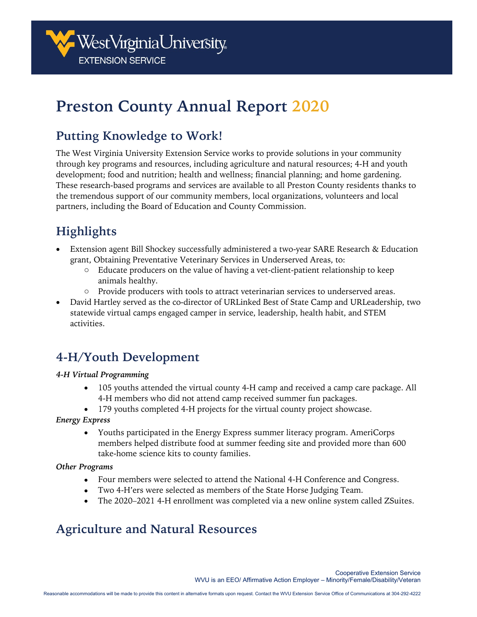

# **Preston County Annual Report 2020**

# **Putting Knowledge to Work!**

The West Virginia University Extension Service works to provide solutions in your community through key programs and resources, including agriculture and natural resources; 4-H and youth development; food and nutrition; health and wellness; financial planning; and home gardening. These research-based programs and services are available to all Preston County residents thanks to the tremendous support of our community members, local organizations, volunteers and local partners, including the Board of Education and County Commission.

# **Highlights**

- Extension agent Bill Shockey successfully administered a two-year SARE Research & Education grant, Obtaining Preventative Veterinary Services in Underserved Areas, to:
	- o Educate producers on the value of having a vet-client-patient relationship to keep animals healthy.
	- o Provide producers with tools to attract veterinarian services to underserved areas.
- David Hartley served as the co-director of URLinked Best of State Camp and URLeadership, two statewide virtual camps engaged camper in service, leadership, health habit, and STEM activities.

### **4-H/Youth Development**

#### *4-H Virtual Programming*

- 105 youths attended the virtual county 4-H camp and received a camp care package. All 4-H members who did not attend camp received summer fun packages.
- 179 youths completed 4-H projects for the virtual county project showcase.

#### *Energy Express*

• Youths participated in the Energy Express summer literacy program. AmeriCorps members helped distribute food at summer feeding site and provided more than 600 take-home science kits to county families.

#### *Other Programs*

- Four members were selected to attend the National 4-H Conference and Congress.
- Two 4-H'ers were selected as members of the State Horse Judging Team.
- The 2020–2021 4-H enrollment was completed via a new online system called ZSuites.

# **Agriculture and Natural Resources**

Cooperative Extension Service WVU is an EEO/ Affirmative Action Employer – Minority/Female/Disability/Veteran